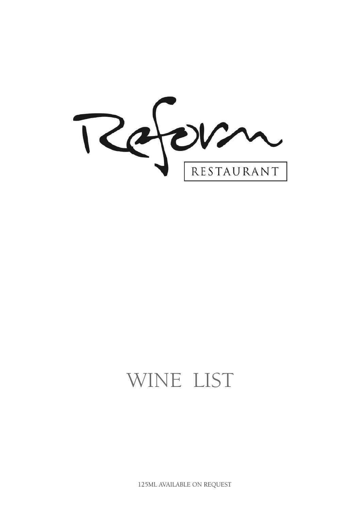Referm

# WINE LIST

125ML AVAILABLE ON REQUEST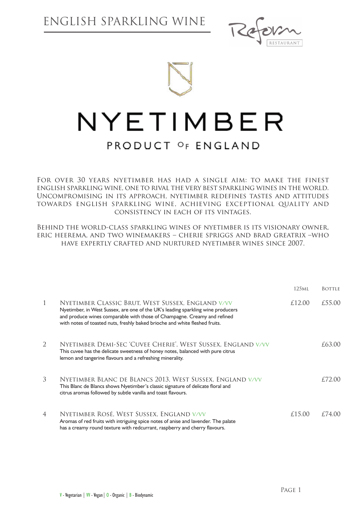



For over 30 years nyetimber has had a single aim: to make the finest english sparkling wine, one to rival the very best sparkling wines in the world. Uncompromising in its approach, nyetimber redefines tastes and attitudes towards english sparkling wine, achieving exceptional quality and consistency in each of its vintages.

Behind the world-class sparkling wines of nyetimber is its visionary owner, eric heerema, and two winemakers – cherie spriggs and brad greatrix –who have expertly crafted and nurtured nyetimber wines since 2007.

|                |                                                                                                                                                                                                                                                                                                 | 125 <sub>ML</sub> | <b>BOTTLE</b> |
|----------------|-------------------------------------------------------------------------------------------------------------------------------------------------------------------------------------------------------------------------------------------------------------------------------------------------|-------------------|---------------|
| 1              | NYETIMBER CLASSIC BRUT, WEST SUSSEX, ENGLAND V/VV<br>Nyetimber, in West Sussex, are one of the UK's leading sparkling wine producers<br>and produce wines comparable with those of Champagne. Creamy and refined<br>with notes of toasted nuts, freshly baked brioche and white fleshed fruits. | £12.00            | £55.00        |
| 2              | NYETIMBER DEMI-SEC 'CUVEE CHERIE', WEST SUSSEX, ENGLAND V/VV<br>This cuvee has the delicate sweetness of honey notes, balanced with pure citrus<br>lemon and tangerine flavours and a refreshing minerality.                                                                                    |                   | £63.00        |
| 3              | NYETIMBER BLANC DE BLANCS 2013, WEST SUSSEX, ENGLAND V/VV<br>This Blanc de Blancs shows Nyetimber's classic signature of delicate floral and<br>citrus aromas followed by subtle vanilla and toast flavours.                                                                                    |                   | £72.00        |
| $\overline{4}$ | NYETIMBER ROSÉ, WEST SUSSEX, ENGLAND V/VV<br>Aromas of red fruits with intriguing spice notes of anise and lavender. The palate<br>has a creamy round texture with redcurrant, raspberry and cherry flavours.                                                                                   | £15.00            | £74.00        |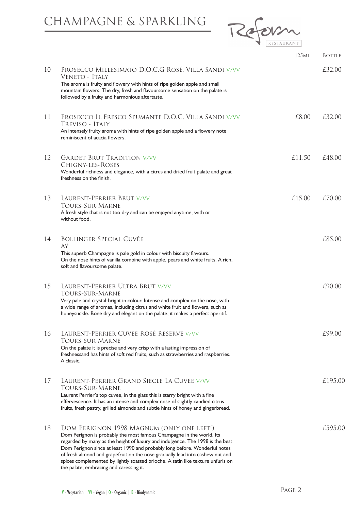#### CHAMPAGNE & SPARKLING



|    |                                                                                                                                                                                                                                                                                                                                                                                                                                                                                                 | 125 <sub>ML</sub> | <b>BOTTLE</b> |
|----|-------------------------------------------------------------------------------------------------------------------------------------------------------------------------------------------------------------------------------------------------------------------------------------------------------------------------------------------------------------------------------------------------------------------------------------------------------------------------------------------------|-------------------|---------------|
| 10 | PROSECCO MILLESIMATO D.O.C.G ROSÉ, VILLA SANDI V/VV<br>VENETO - ITALY                                                                                                                                                                                                                                                                                                                                                                                                                           |                   | £32.00        |
|    | The aroma is fruity and flowery with hints of ripe golden apple and small<br>mountain flowers. The dry, fresh and flavoursome sensation on the palate is<br>followed by a fruity and harmonious aftertaste.                                                                                                                                                                                                                                                                                     |                   |               |
| 11 | PROSECCO IL FRESCO SPUMANTE D.O.C, VILLA SANDI V/VV<br>TREVISO - ITALY<br>An intensely fruity aroma with hints of ripe golden apple and a flowery note<br>reminiscent of acacia flowers.                                                                                                                                                                                                                                                                                                        | £8.00             | £32.00        |
| 12 | <b>GARDET BRUT TRADITION V/VV</b><br>CHIGNY-LES-ROSES<br>Wonderful richness and elegance, with a citrus and dried fruit palate and great<br>freshness on the finish.                                                                                                                                                                                                                                                                                                                            | £11.50            | £48.00        |
| 13 | LAURENT-PERRIER BRUT V/VV<br><b>TOURS-SUR-MARNE</b><br>A fresh style that is not too dry and can be enjoyed anytime, with or<br>without food.                                                                                                                                                                                                                                                                                                                                                   | £15.00            | £70.00        |
| 14 | <b>BOLLINGER SPECIAL CUVÉE</b><br>AŸ<br>This superb Champagne is pale gold in colour with biscuity flavours.<br>On the nose hints of vanilla combine with apple, pears and white fruits. A rich,<br>soft and flavoursome palate.                                                                                                                                                                                                                                                                |                   | £85.00        |
| 15 | LAURENT-PERRIER ULTRA BRUT V/VV<br>TOURS-SUR-MARNE<br>Very pale and crystal-bright in colour. Intense and complex on the nose, with<br>a wide range of aromas, including citrus and white fruit and flowers, such as<br>honeysuckle. Bone dry and elegant on the palate, it makes a perfect aperitif.                                                                                                                                                                                           |                   | £90.00        |
| 16 | LAURENT-PERRIER CUVEE ROSÉ RESERVE V/VV<br>TOURS-SUR-MARNE<br>On the palate it is precise and very crisp with a lasting impression of<br>freshnessand has hints of soft red fruits, such as strawberries and raspberries.<br>A classic.                                                                                                                                                                                                                                                         |                   | £99.00        |
| 17 | LAURENT-PERRIER GRAND SIECLE LA CUVEE V/VV<br><b>TOURS-SUR-MARNE</b><br>Laurent Perrier's top cuvee, in the glass this is starry bright with a fine<br>effervescence. It has an intense and complex nose of slightly candied citrus<br>fruits, fresh pastry, grilled almonds and subtle hints of honey and gingerbread.                                                                                                                                                                         |                   | £195.00       |
| 18 | DOM PERIGNON 1998 MAGNUM (ONLY ONE LEFT!)<br>Dom Perignon is probably the most famous Champagne in the world. Its<br>regarded by many as the height of luxury and indulgence. The 1998 is the best<br>Dom Perignon since at least 1990 and probably long before. Wonderful notes<br>of fresh almond and grapefruit on the nose gradually lead into cashew nut and<br>spices complemented by lightly toasted brioche. A satin like texture unfurls on<br>the palate, embracing and caressing it. |                   | £595.00       |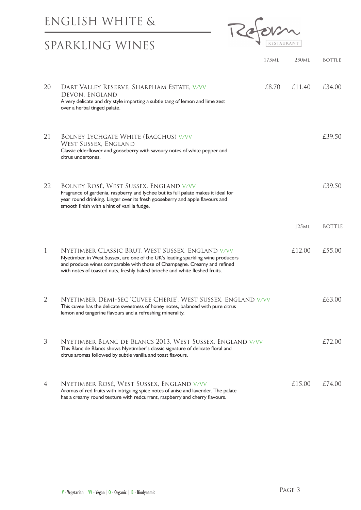#### ENGLISH WHITE &

# SPARKLING WINES



| 20 | DART VALLEY RESERVE, SHARPHAM ESTATE, V/VV<br>DEVON, ENGLAND<br>A very delicate and dry style imparting a subtle tang of lemon and lime zest<br>over a herbal tinged palate.                                                                                                                    | £8.70 | £11.40            | £34.00        |
|----|-------------------------------------------------------------------------------------------------------------------------------------------------------------------------------------------------------------------------------------------------------------------------------------------------|-------|-------------------|---------------|
| 21 | <b>BOLNEY LYCHGATE WHITE (BACCHUS) V/VV</b><br><b>WEST SUSSEX, ENGLAND</b><br>Classic elderflower and gooseberry with savoury notes of white pepper and<br>citrus undertones.                                                                                                                   |       |                   | £39.50        |
| 22 | BOLNEY ROSÉ, WEST SUSSEX, ENGLAND V/VV<br>Fragrance of gardenia, raspberry and lychee but its full palate makes it ideal for<br>year round drinking. Linger over its fresh gooseberry and apple flavours and<br>smooth finish with a hint of vanilla fudge.                                     |       |                   | £39.50        |
|    |                                                                                                                                                                                                                                                                                                 |       | 125 <sub>ML</sub> | <b>BOTTLE</b> |
| 1  | NYETIMBER CLASSIC BRUT, WEST SUSSEX, ENGLAND V/VV<br>Nyetimber, in West Sussex, are one of the UK's leading sparkling wine producers<br>and produce wines comparable with those of Champagne. Creamy and refined<br>with notes of toasted nuts, freshly baked brioche and white fleshed fruits. |       | £12.00            | £55.00        |
| 2  | NYETIMBER DEMI-SEC 'CUVEE CHERIE', WEST SUSSEX, ENGLAND V/VV<br>This cuvee has the delicate sweetness of honey notes, balanced with pure citrus<br>lemon and tangerine flavours and a refreshing minerality.                                                                                    |       |                   | £63.00        |
| 3  | NYETIMBER BLANC DE BLANCS 2013, WEST SUSSEX, ENGLAND V/VV<br>This Blanc de Blancs shows Nyetimber's classic signature of delicate floral and<br>citrus aromas followed by subtle vanilla and toast flavours.                                                                                    |       |                   | £72.00        |
| 4  | NYETIMBER ROSÉ, WEST SUSSEX, ENGLAND V/VV<br>Aromas of red fruits with intriguing spice notes of anise and lavender. The palate<br>has a creamy round texture with redcurrant, raspberry and cherry flavours.                                                                                   |       | £15.00            | £74.00        |

175ml 250ml Bottle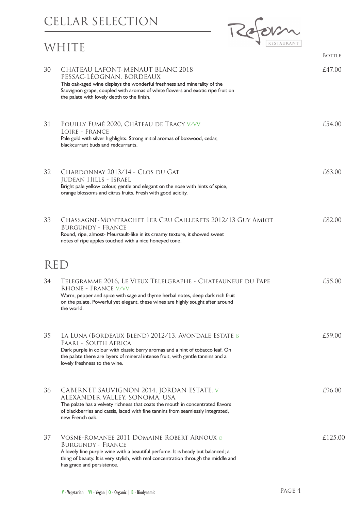#### CELLAR SELECTION

#### WHITE



|            |                                                                                                                                                                                                                                                                                   | <b>BOTTLE</b> |
|------------|-----------------------------------------------------------------------------------------------------------------------------------------------------------------------------------------------------------------------------------------------------------------------------------|---------------|
| 30         | CHATEAU LAFONT-MENAUT BLANC 2018<br>PESSAC-LEOGNAN, BORDEAUX<br>This oak-aged wine displays the wonderful freshness and minerality of the<br>Sauvignon grape, coupled with aromas of white flowers and exotic ripe fruit on<br>the palate with lovely depth to the finish.        | £47.00        |
| 31         | POUILLY FUMÉ 2020, CHÂTEAU DE TRACY V/VV<br>LOIRE - FRANCE<br>Pale gold with silver highlights. Strong initial aromas of boxwood, cedar,<br>blackcurrant buds and redcurrants.                                                                                                    | f.54.00       |
| 32         | CHARDONNAY 2013/14 - CLOS DU GAT<br>Judean Hills - Israel<br>Bright pale yellow colour, gentle and elegant on the nose with hints of spice,<br>orange blossoms and citrus fruits. Fresh with good acidity.                                                                        | £63.00        |
| 33         | CHASSAGNE-MONTRACHET 1ER CRU CAILLERETS 2012/13 GUY AMIOT<br><b>BURGUNDY - FRANCE</b><br>Round, ripe, almost- Meursault-like in its creamy texture, it showed sweet<br>notes of ripe apples touched with a nice honeyed tone.                                                     | £82.00        |
| <b>RED</b> |                                                                                                                                                                                                                                                                                   |               |
| 34         | TELEGRAMME 2016, LE VIEUX TELELGRAPHE - CHATEAUNEUF DU PAPE<br>RHONE - FRANCE V/VV<br>Warm, pepper and spice with sage and thyme herbal notes, deep dark rich fruit<br>on the palate. Powerful yet elegant, these wines are highly sought after around<br>the world.              | £55.00        |
| 35         | LA LUNA (BORDEAUX BLEND) 2012/13, AVONDALE ESTATE B<br>PAARL - SOUTH AFRICA<br>Dark purple in colour with classic berry aromas and a hint of tobacco leaf. On<br>the palate there are layers of mineral intense fruit, with gentle tannins and a<br>lovely freshness to the wine. | £59.00        |
| 36         | CABERNET SAUVIGNON 2014, JORDAN ESTATE, V<br>ALEXANDER VALLEY, SONOMA, USA<br>The palate has a velvety richness that coats the mouth in concentrated flavors<br>of blackberries and cassis, laced with fine tannins from seamlessly integrated,<br>new French oak.                | £96.00        |
| 37         | VOSNE-ROMANEE 2011 DOMAINE ROBERT ARNOUX O<br><b>BURGUNDY - FRANCE</b><br>A lovely fine purple wine with a beautiful perfume. It is heady but balanced; a<br>thing of beauty. It is very stylish, with real concentration through the middle and<br>has grace and persistence.    | £125.00       |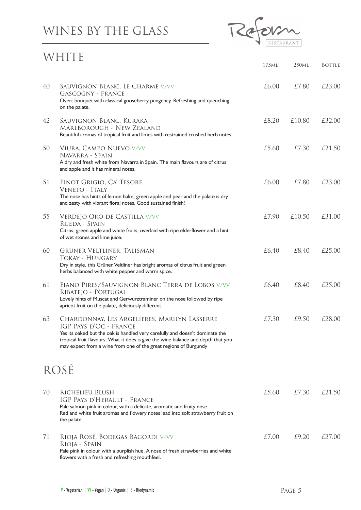# WINES BY THE GLASS



#### WHITE

|    |                                                                                                                                                                                                                                                                                                                 | 175 <sub>ML</sub> | 250ml  | <b>BOTTLE</b> |
|----|-----------------------------------------------------------------------------------------------------------------------------------------------------------------------------------------------------------------------------------------------------------------------------------------------------------------|-------------------|--------|---------------|
| 40 | SAUVIGNON BLANC, LE CHARME V/VV<br><b>GASCOGNY - FRANCE</b><br>Overt bouquet with classical gooseberry pungency. Refreshing and quenching<br>on the palate.                                                                                                                                                     | £6.00             | £7.80  | £23.00        |
| 42 | SAUVIGNON BLANC, KURAKA<br><b>MARLBOROUGH - NEW ZEALAND</b><br>Beautiful aromas of tropical fruit and limes with restrained crushed herb notes.                                                                                                                                                                 | £8.20             | £10.80 | £32.00        |
| 50 | VIURA, CAMPO NUEVO V/VV<br>NAVARRA - SPAIN<br>A dry and fresh white from Navarra in Spain. The main flavours are of citrus<br>and apple and it has mineral notes.                                                                                                                                               | £5.60             | £7.30  | £21.50        |
| 51 | PINOT GRIGIO, CA' TESORE<br>VENETO - ITALY<br>The nose has hints of lemon balm, green apple and pear and the palate is dry<br>and zesty with vibrant floral notes. Good sustained finish!                                                                                                                       | £6.00             | £7.80  | £23.00        |
| 55 | VERDEJO ORO DE CASTILLA V/VV<br>RUEDA - SPAIN<br>Citrus, green apple and white fruits, overlaid with ripe elderflower and a hint<br>of wet stones and lime juice.                                                                                                                                               | £7.90             | £10.50 | £31.00        |
| 60 | GRÜNER VELTLINER, TALISMAN<br><b>TOKAY - HUNGARY</b><br>Dry in style, this Grüner Veltliner has bright aromas of citrus fruit and green<br>herbs balanced with white pepper and warm spice.                                                                                                                     | £6.40             | £8.40  | £25.00        |
| 61 | FIANO PIRES/SAUVIGNON BLANC TERRA DE LOBOS V/VV<br>RIBATEJO - PORTUGAL<br>Lovely hints of Muscat and Gerwurztraminer on the nose followed by ripe<br>apricot fruit on the palate, deliciously different.                                                                                                        | £6.40             | £8.40  | £25.00        |
| 63 | CHARDONNAY, LES ARGELIERES, MARILYN LASSERRE<br>IGP PAYS D'OC - FRANCE<br>Yes its oaked but the oak is handled very carefully and doesn't dominate the<br>tropical fruit flavours. What it does is give the wine balance and depth that you<br>may expect from a wine from one of the great regions of Burgundy | £7.30             | £9.50  | £28.00        |
|    | ROSE                                                                                                                                                                                                                                                                                                            |                   |        |               |
| 70 | RICHELIEU BLUSH<br>IGP PAYS D'HERAULT - FRANCE<br>Pale salmon pink in colour, with a delicate, aromatic and fruity nose.<br>Red and white fruit aromas and flowery notes lead into soft strawberry fruit on<br>the palate.                                                                                      | £5.60             | £7.30  | £21.50        |
| 71 | RIOJA ROSÉ, BODEGAS BAGORDI V/VV<br>Rioja - Spain<br>Pale pink in colour with a purplish hue. A nose of fresh strawberries and white<br>flowers with a fresh and refreshing mouthfeel.                                                                                                                          | £7.00             | £9.20  | £27.00        |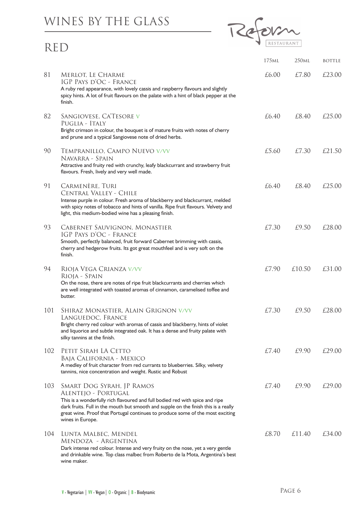#### WINES BY THE GLASS

#### RED



|     |                                                                                                                                                                                                                                                                                                                               | 175 <sub>ML</sub> | 250 <sub>ML</sub> | <b>BOTTLE</b> |
|-----|-------------------------------------------------------------------------------------------------------------------------------------------------------------------------------------------------------------------------------------------------------------------------------------------------------------------------------|-------------------|-------------------|---------------|
| 81  | MERLOT, LE CHARME<br>IGP PAYS D'OC - FRANCE<br>A ruby red appearance, with lovely cassis and raspberry flavours and slightly<br>spicy hints. A lot of fruit flavours on the palate with a hint of black pepper at the<br>finish.                                                                                              | £6.00             | £7.80             | £23.00        |
| 82  | SANGIOVESE, CA'TESORE V<br>PUGLIA - ITALY<br>Bright crimson in colour, the bouquet is of mature fruits with notes of cherry<br>and prune and a typical Sangiovese note of dried herbs.                                                                                                                                        | £6.40             | £8.40             | £25.00        |
| 90  | TEMPRANILLO, CAMPO NUEVO V/VV<br>Navarra - Spain<br>Attractive and fruity red with crunchy, leafy blackcurrant and strawberry fruit<br>flavours. Fresh, lively and very well made.                                                                                                                                            | £5.60             | £7.30             | £21.50        |
| 91  | CARMENÈRE, TURI<br>Central Valley - Chile<br>Intense purple in colour. Fresh aroma of blackberry and blackcurrant, melded<br>with spicy notes of tobacco and hints of vanilla. Ripe fruit flavours. Velvety and<br>light, this medium-bodied wine has a pleasing finish.                                                      | £6.40             | £8.40             | £25.00        |
| 93  | CABERNET SAUVIGNON, MONASTIER<br>IGP PAYS D'OC - FRANCE<br>Smooth, perfectly balanced, fruit forward Cabernet brimming with cassis,<br>cherry and hedgerow fruits. Its got great mouthfeel and is very soft on the<br>finish.                                                                                                 | £7.30             | £9.50             | £28.00        |
| 94  | RIOJA VEGA CRIANZA V/VV<br>Rioja - Spain<br>On the nose, there are notes of ripe fruit blackcurrants and cherries which<br>are well integrated with toasted aromas of cinnamon, caramelised toffee and<br>butter.                                                                                                             | £7.90             | £10.50            | £31.00        |
| 101 | SHIRAZ MONASTIER, ALAIN GRIGNON V/VV<br>LANGUEDOC, FRANCE<br>Bright cherry red colour with aromas of cassis and blackberry, hints of violet<br>and liquorice and subtle integrated oak. It has a dense and fruity palate with<br>silky tannins at the finish.                                                                 | £7.30             | £9.50             | £28.00        |
| 102 | PETIT SIRAH LA CETTO<br>Baja California - Mexico<br>A medley of fruit character from red currants to blueberries. Silky, velvety<br>tannins, nice concentration and weight. Rustic and Robust                                                                                                                                 | £7.40             | £9.90             | £29.00        |
| 103 | SMART DOG SYRAH, JP RAMOS<br>ALENTEJO - PORTUGAL<br>This is a wonderfully rich flavoured and full bodied red with spice and ripe<br>dark fruits. Full in the mouth but smooth and supple on the finish this is a really<br>great wine. Proof that Portugal continues to produce some of the most exciting<br>wines in Europe. | £7.40             | £9.90             | £29.00        |
| 104 | LUNTA MALBEC, MENDEL<br>MENDOZA - ARGENTINA<br>Dark intense red colour. Intense and very fruity on the nose, yet a very gentle<br>and drinkable wine. Top class malbec from Roberto de la Mota, Argentina's best<br>wine maker.                                                                                               | £8.70             | £11.40            | £34.00        |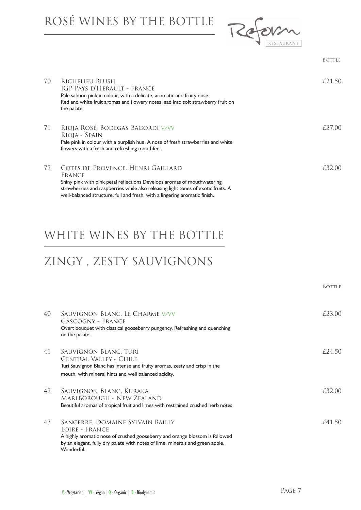ROSÉ WINES BY THE BOTTLE



| 70 | RICHELIEU BLUSH<br>IGP Pays d'Herault - France<br>Pale salmon pink in colour, with a delicate, aromatic and fruity nose.<br>Red and white fruit aromas and flowery notes lead into soft strawberry fruit on<br>the palate.                                                                | £21.50  |
|----|-------------------------------------------------------------------------------------------------------------------------------------------------------------------------------------------------------------------------------------------------------------------------------------------|---------|
| 71 | RIOJA ROSÉ, BODEGAS BAGORDI V/VV<br>RIOJA - SPAIN<br>Pale pink in colour with a purplish hue. A nose of fresh strawberries and white<br>flowers with a fresh and refreshing mouthfeel.                                                                                                    | f27(00) |
| 72 | COTES DE PROVENCE, HENRI GAILLARD<br>FRANCE<br>Shiny pink with pink petal reflections Develops aromas of mouthwatering<br>strawberries and raspberries while also releasing light tones of exotic fruits. A<br>well-balanced structure, full and fresh, with a lingering aromatic finish. | £32.00  |

bottle and the second state of the second state of the second state in the second state of the second state in

#### WHITE WINES BY THE BOTTLE

# ZINGY , ZESTY SAUVIGNONS

|    |                                                                                                                                                                                                                                  | <b>BOTTLE</b> |
|----|----------------------------------------------------------------------------------------------------------------------------------------------------------------------------------------------------------------------------------|---------------|
| 40 | SAUVIGNON BLANC, LE CHARME V/VV<br>GASCOGNY - FRANCE<br>Overt bouquet with classical gooseberry pungency. Refreshing and quenching<br>on the palate.                                                                             | £23.00        |
| 41 | Sauvignon Blanc, Turi<br>CENTRAL VALLEY - CHILE<br>Turi Sauvignon Blanc has intense and fruity aromas, zesty and crisp in the<br>mouth, with mineral hints and well balanced acidity.                                            | $f$ 24.50     |
| 42 | Sauvignon Blanc, Kuraka<br>Marlborough - New Zealand<br>Beautiful aromas of tropical fruit and limes with restrained crushed herb notes.                                                                                         | £32.00        |
| 43 | SANCERRE, DOMAINE SYLVAIN BAILLY<br>LOIRE - FRANCE<br>A highly aromatic nose of crushed gooseberry and orange blossom is followed<br>by an elegant, fully dry palate with notes of lime, minerals and green apple.<br>Wonderful. | f41.50        |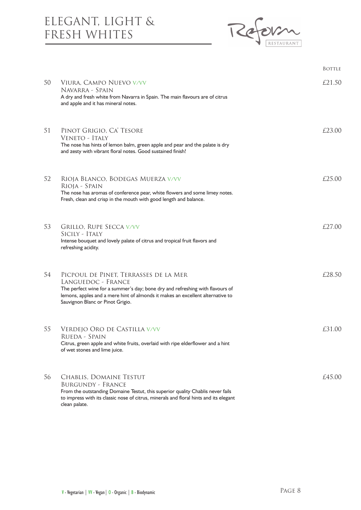#### ELEGANT, LIGHT & FRESH WHITES



|    |                                                                                                                                                                                                                                                                    | <b>BOTTLE</b> |
|----|--------------------------------------------------------------------------------------------------------------------------------------------------------------------------------------------------------------------------------------------------------------------|---------------|
| 50 | VIURA, CAMPO NUEVO V/VV<br>Navarra - Spain<br>A dry and fresh white from Navarra in Spain. The main flavours are of citrus<br>and apple and it has mineral notes.                                                                                                  | £21.50        |
| 51 | PINOT GRIGIO, CA' TESORE<br>VENETO - ITALY<br>The nose has hints of lemon balm, green apple and pear and the palate is dry<br>and zesty with vibrant floral notes. Good sustained finish!                                                                          | £23.00        |
| 52 | RIOJA BLANCO, BODEGAS MUERZA V/VV<br>RIOJA - SPAIN<br>The nose has aromas of conference pear, white flowers and some limey notes.<br>Fresh, clean and crisp in the mouth with good length and balance.                                                             | £25.00        |
| 53 | <b>GRILLO, RUPE SECCA V/VV</b><br>Sicily - Italy<br>Intense bouquet and lovely palate of citrus and tropical fruit flavors and<br>refreshing acidity.                                                                                                              | £27.00        |
| 54 | PICPOUL DE PINET, TERRASSES DE LA MER<br>LANGUEDOC - FRANCE<br>The perfect wine for a summer's day; bone dry and refreshing with flavours of<br>lemons, apples and a mere hint of almonds it makes an excellent alternative to<br>Sauvignon Blanc or Pinot Grigio. | £28.50        |
| 55 | VERDEJO ORO DE CASTILLA V/VV<br>Rueda - Spain<br>Citrus, green apple and white fruits, overlaid with ripe elderflower and a hint<br>of wet stones and lime juice.                                                                                                  | £31.00        |
| 56 | <b>CHABLIS, DOMAINE TESTUT</b><br><b>BURGUNDY - FRANCE</b><br>From the outstanding Domaine Testut, this superior quality Chablis never fails<br>to impress with its classic nose of citrus, minerals and floral hints and its elegant<br>clean palate.             | £45.00        |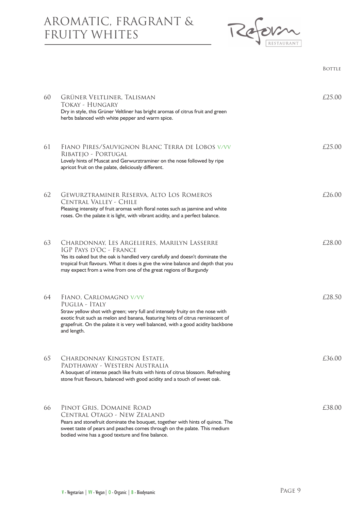#### AROMATIC, FRAGRANT & FRUITY WHITES



| 60 | GRÜNER VELTLINER, TALISMAN<br>Tokay - Hungary<br>Dry in style, this Grüner Veltliner has bright aromas of citrus fruit and green<br>herbs balanced with white pepper and warm spice.                                                                                                                            | £25.00 |
|----|-----------------------------------------------------------------------------------------------------------------------------------------------------------------------------------------------------------------------------------------------------------------------------------------------------------------|--------|
| 61 | FIANO PIRES/SAUVIGNON BLANC TERRA DE LOBOS V/VV<br>RIBATEJO - PORTUGAL<br>Lovely hints of Muscat and Gerwurztraminer on the nose followed by ripe<br>apricot fruit on the palate, deliciously different.                                                                                                        | f2500  |
| 62 | <b>GEWURZTRAMINER RESERVA, ALTO LOS ROMEROS</b><br>CENTRAL VALLEY - CHILE<br>Pleasing intensity of fruit aromas with floral notes such as jasmine and white<br>roses. On the palate it is light, with vibrant acidity, and a perfect balance.                                                                   | £26.00 |
| 63 | CHARDONNAY, LES ARGELIERES, MARILYN LASSERRE<br>IGP PAYS D'OC - FRANCE<br>Yes its oaked but the oak is handled very carefully and doesn't dominate the<br>tropical fruit flavours. What it does is give the wine balance and depth that you<br>may expect from a wine from one of the great regions of Burgundy | £28.00 |
| 64 | FIANO, CARLOMAGNO V/VV<br>PUGLIA - ITALY<br>Straw yellow shot with green; very full and intensely fruity on the nose with<br>exotic fruit such as melon and banana, featuring hints of citrus reminiscent of<br>grapefruit. On the palate it is very well balanced, with a good acidity backbone<br>and length. | £28.50 |
| 65 | CHARDONNAY KINGSTON ESTATE,<br>PADTHAWAY - WESTERN AUSTRALIA<br>A bouquet of intense peach like fruits with hints of citrus blossom. Refreshing<br>stone fruit flavours, balanced with good acidity and a touch of sweet oak.                                                                                   | £36.00 |
| 66 | PINOT GRIS, DOMAINE ROAD<br>CENTRAL OTAGO - NEW ZEALAND<br>Pears and stonefruit dominate the bouquet, together with hints of quince. The<br>sweet taste of pears and peaches comes through on the palate. This medium<br>bodied wine has a good texture and fine balance.                                       | £38.00 |

**Bottle** Bottle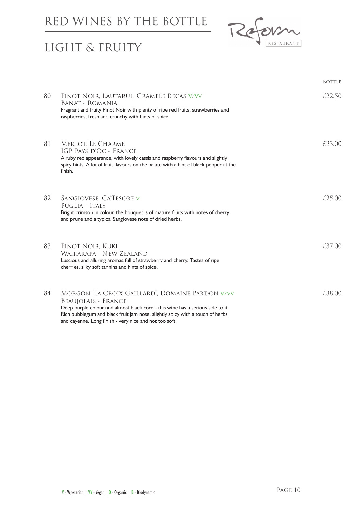#### RED WINES BY THE BOTTLE



### LIGHT & FRUITY

|    |                                                                                                                                                                                                                                                                                                            | <b>BOTTLE</b> |
|----|------------------------------------------------------------------------------------------------------------------------------------------------------------------------------------------------------------------------------------------------------------------------------------------------------------|---------------|
| 80 | PINOT NOIR, LAUTARUL, CRAMELE RECAS V/VV<br>BANAT - ROMANIA<br>Fragrant and fruity Pinot Noir with plenty of ripe red fruits, strawberries and<br>raspberries, fresh and crunchy with hints of spice.                                                                                                      | £22.50        |
| 81 | <b>MERLOT, LE CHARME</b><br>IGP PAYS D'OC - FRANCE<br>A ruby red appearance, with lovely cassis and raspberry flavours and slightly<br>spicy hints. A lot of fruit flavours on the palate with a hint of black pepper at the<br>finish.                                                                    | £23.00        |
| 82 | SANGIOVESE, CA'TESORE V<br>PUGLIA - ITALY<br>Bright crimson in colour, the bouquet is of mature fruits with notes of cherry<br>and prune and a typical Sangiovese note of dried herbs.                                                                                                                     | £25.00        |
| 83 | PINOT NOIR, KUKI<br>WAIRARAPA - NEW ZEALAND<br>Luscious and alluring aromas full of strawberry and cherry. Tastes of ripe<br>cherries, silky soft tannins and hints of spice.                                                                                                                              | £37.00        |
| 84 | MORGON 'LA CROIX GAILLARD', DOMAINE PARDON V/VV<br><b>BEAUJOLAIS - FRANCE</b><br>Deep purple colour and almost black core - this wine has a serious side to it.<br>Rich bubblegum and black fruit jam nose, slightly spicy with a touch of herbs<br>and cayenne. Long finish - very nice and not too soft. | £38.00        |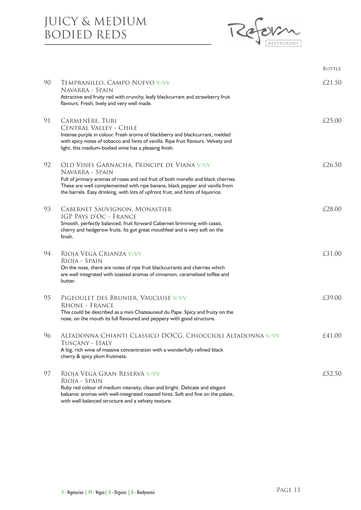#### JUICY & MEDIUM BODIED REDS



|    |                                                                                                                                                                                                                                                                                                                      | <b>BOTTLE</b> |
|----|----------------------------------------------------------------------------------------------------------------------------------------------------------------------------------------------------------------------------------------------------------------------------------------------------------------------|---------------|
| 90 | TEMPRANILLO, CAMPO NUEVO V/VV<br>Navarra - Spain<br>Attractive and fruity red with crunchy, leafy blackcurrant and strawberry fruit<br>flavours. Fresh, lively and very well made.                                                                                                                                   | £21.50        |
| 91 | CARMENÈRE, TURI<br>CENTRAL VALLEY - CHILE<br>Intense purple in colour. Fresh aroma of blackberry and blackcurrant, melded<br>with spicy notes of tobacco and hints of vanilla. Ripe fruit flavours. Velvety and<br>light, this medium-bodied wine has a pleasing finish.                                             | £25.00        |
| 92 | OLD VINES GARNACHA, PRINCIPE DE VIANA V/VV<br>Navarra - Spain<br>Full of primary aromas of roses and red fruit of both morello and black cherries.<br>These are well complemented with ripe banana, black pepper and vanilla from<br>the barrels. Easy drinking, with lots of upfront fruit, and hints of liquorice. | £26.50        |
| 93 | CABERNET SAUVIGNON, MONASTIER<br>IGP PAYS D'OC - FRANCE<br>Smooth, perfectly balanced, fruit forward Cabernet brimming with cassis,<br>cherry and hedgerow fruits. Its got great mouthfeel and is very soft on the<br>finish.                                                                                        | £28.00        |
| 94 | RIOJA VEGA CRIANZA V/VV<br>RIOJA - SPAIN<br>On the nose, there are notes of ripe fruit blackcurrants and cherries which<br>are well integrated with toasted aromas of cinnamon, caramelised toffee and<br>butter.                                                                                                    | £31.00        |
| 95 | PIGEOULET DES BRUNIER, VAUCLUSE V/VV<br><b>RHONE - FRANCE</b><br>This could be described as a mini Chateauneuf du Pape. Spicy and fruity on the<br>nose, on the mouth its full flavoured and peppery with good structure.                                                                                            | £39.00        |
| 96 | ALTADONNA CHIANTI CLASSICO DOCG, CHIOCCIOLI ALTADONNA V/VV<br>Tuscany - Italy<br>A big, rich wine of massive concentration with a wonderfully refined black<br>cherry & spicy plum fruitiness.                                                                                                                       | £41.00        |
| 97 | RIOJA VEGA GRAN RESERVA V/VV<br>RIOJA - SPAIN<br>Ruby red colour of medium intensity, clean and bright. Delicate and elegant<br>balsamic aromas with well-integrated roasted hints. Soft and fine on the palate,<br>with well balanced structure and a velvety texture.                                              | £52.50        |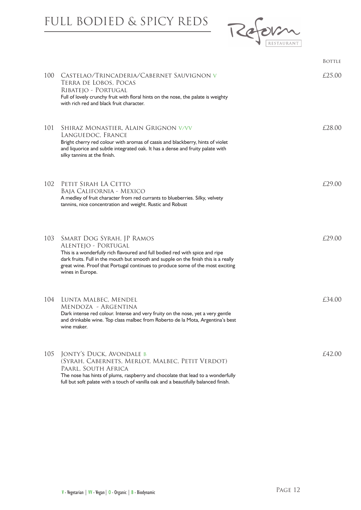# FULL BODIED & SPICY REDS



| 100 | CASTELAO/TRINCADERIA/CABERNET SAUVIGNON V<br>TERRA DE LOBOS, POCAS<br>RIBATEJO - PORTUGAL<br>Full of lovely crunchy fruit with floral hints on the nose, the palate is weighty<br>with rich red and black fruit character.                                                                                                    | £25.00 |
|-----|-------------------------------------------------------------------------------------------------------------------------------------------------------------------------------------------------------------------------------------------------------------------------------------------------------------------------------|--------|
| 101 | SHIRAZ MONASTIER, ALAIN GRIGNON V/VV<br>LANGUEDOC, FRANCE<br>Bright cherry red colour with aromas of cassis and blackberry, hints of violet<br>and liquorice and subtle integrated oak. It has a dense and fruity palate with<br>silky tannins at the finish.                                                                 | £28.00 |
| 102 | PETIT SIRAH LA CETTO<br>Baja California - Mexico<br>A medley of fruit character from red currants to blueberries. Silky, velvety<br>tannins, nice concentration and weight. Rustic and Robust                                                                                                                                 | £29.00 |
| 103 | SMART DOG SYRAH, JP RAMOS<br>ALENTEJO - PORTUGAL<br>This is a wonderfully rich flavoured and full bodied red with spice and ripe<br>dark fruits. Full in the mouth but smooth and supple on the finish this is a really<br>great wine. Proof that Portugal continues to produce some of the most exciting<br>wines in Europe. | f29.00 |
| 104 | LUNTA MALBEC, MENDEL<br>MENDOZA - ARGENTINA<br>Dark intense red colour. Intense and very fruity on the nose, yet a very gentle<br>and drinkable wine. Top class malbec from Roberto de la Mota, Argentina's best<br>wine maker.                                                                                               | £34.00 |
| 105 | JONTY'S DUCK, AVONDALE B<br>(SYRAH, CABERNETS, MERLOT, MALBEC, PETIT VERDOT)<br>PAARL, SOUTH AFRICA<br>The nose has hints of plums, raspberry and chocolate that lead to a wonderfully<br>full but soft palate with a touch of vanilla oak and a beautifully balanced finish.                                                 | £42.00 |

**Bottle** Bottle